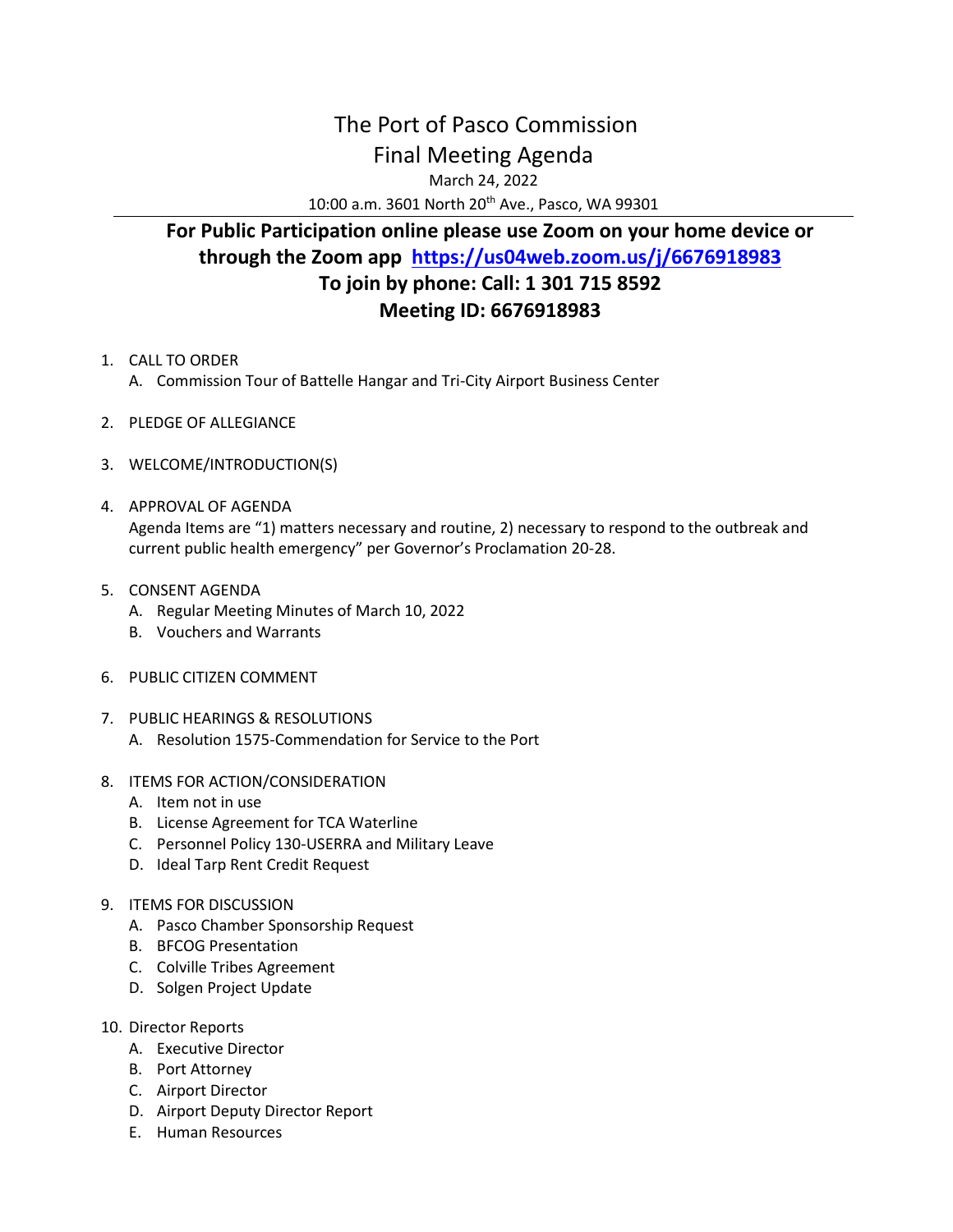## The Port of Pasco Commission Final Meeting Agenda

March 24, 2022

10:00 a.m. 3601 North 20<sup>th</sup> Ave., Pasco, WA 99301

## **For Public Participation online please use Zoom on your home device or through the Zoom app <https://us04web.zoom.us/j/6676918983> To join by phone: Call: 1 301 715 8592 Meeting ID: 6676918983**

- 1. CALL TO ORDER A. Commission Tour of Battelle Hangar and Tri-City Airport Business Center
- 2. PLEDGE OF ALLEGIANCE
- 3. WELCOME/INTRODUCTION(S)
- 4. APPROVAL OF AGENDA Agenda Items are "1) matters necessary and routine, 2) necessary to respond to the outbreak and current public health emergency" per Governor's Proclamation 20-28.
- 5. CONSENT AGENDA
	- A. Regular Meeting Minutes of March 10, 2022
	- B. Vouchers and Warrants
- 6. PUBLIC CITIZEN COMMENT
- 7. PUBLIC HEARINGS & RESOLUTIONS
	- A. Resolution 1575-Commendation for Service to the Port
- 8. ITEMS FOR ACTION/CONSIDERATION
	- A. Item not in use
	- B. License Agreement for TCA Waterline
	- C. Personnel Policy 130-USERRA and Military Leave
	- D. Ideal Tarp Rent Credit Request
- 9. ITEMS FOR DISCUSSION
	- A. Pasco Chamber Sponsorship Request
	- B. BFCOG Presentation
	- C. Colville Tribes Agreement
	- D. Solgen Project Update
- 10. Director Reports
	- A. Executive Director
	- B. Port Attorney
	- C. Airport Director
	- D. Airport Deputy Director Report
	- E. Human Resources